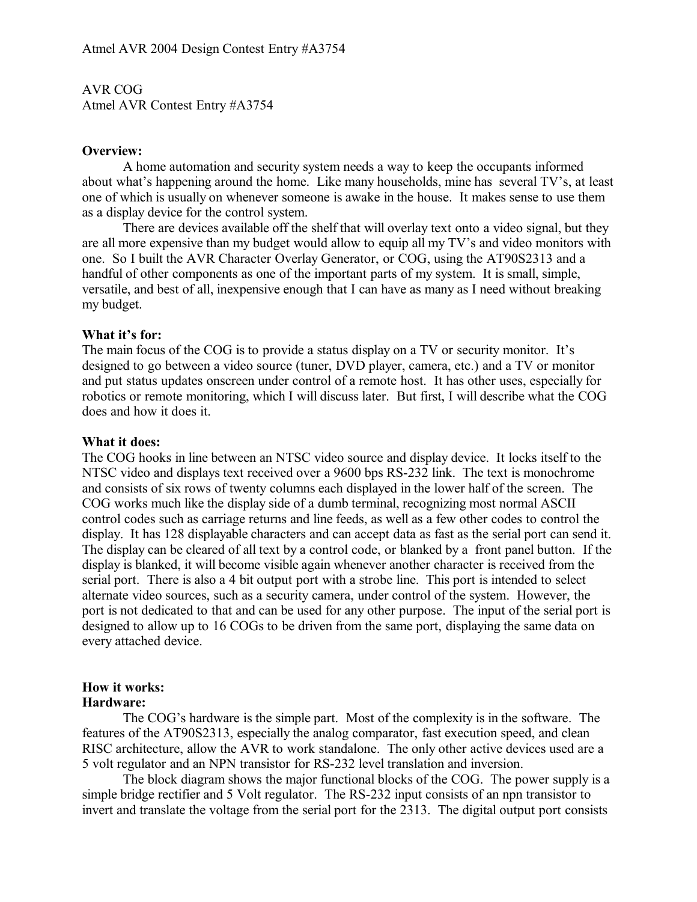AVR COG Atmel AVR Contest Entry #A3754

### **Overview:**

A home automation and security system needs a way to keep the occupants informed about what's happening around the home. Like many households, mine has several TV's, at least one of which is usually on whenever someone is awake in the house. It makes sense to use them as a display device for the control system.

There are devices available off the shelf that will overlay text onto a video signal, but they are all more expensive than my budget would allow to equip all my TV's and video monitors with one. So I built the AVR Character Overlay Generator, or COG, using the AT90S2313 and a handful of other components as one of the important parts of my system. It is small, simple, versatile, and best of all, inexpensive enough that I can have as many as I need without breaking my budget.

### **What it's for:**

The main focus of the COG is to provide a status display on a TV or security monitor. It's designed to go between a video source (tuner, DVD player, camera, etc.) and a TV or monitor and put status updates onscreen under control of a remote host. It has other uses, especially for robotics or remote monitoring, which I will discuss later. But first, I will describe what the COG does and how it does it.

### **What it does:**

The COG hooks in line between an NTSC video source and display device. It locks itself to the NTSC video and displays text received over a 9600 bps RS-232 link. The text is monochrome and consists of six rows of twenty columns each displayed in the lower half of the screen. The COG works much like the display side of a dumb terminal, recognizing most normal ASCII control codes such as carriage returns and line feeds, as well as a few other codes to control the display. It has 128 displayable characters and can accept data as fast as the serial port can send it. The display can be cleared of all text by a control code, or blanked by a front panel button. If the display is blanked, it will become visible again whenever another character is received from the serial port. There is also a 4 bit output port with a strobe line. This port is intended to select alternate video sources, such as a security camera, under control of the system. However, the port is not dedicated to that and can be used for any other purpose. The input of the serial port is designed to allow up to 16 COGs to be driven from the same port, displaying the same data on every attached device.

### **How it works: Hardware:**

The COG's hardware is the simple part. Most of the complexity is in the software. The features of the AT90S2313, especially the analog comparator, fast execution speed, and clean RISC architecture, allow the AVR to work standalone. The only other active devices used are a 5 volt regulator and an NPN transistor for RS-232 level translation and inversion.

The block diagram shows the major functional blocks of the COG. The power supply is a simple bridge rectifier and 5 Volt regulator. The RS-232 input consists of an npn transistor to invert and translate the voltage from the serial port for the 2313. The digital output port consists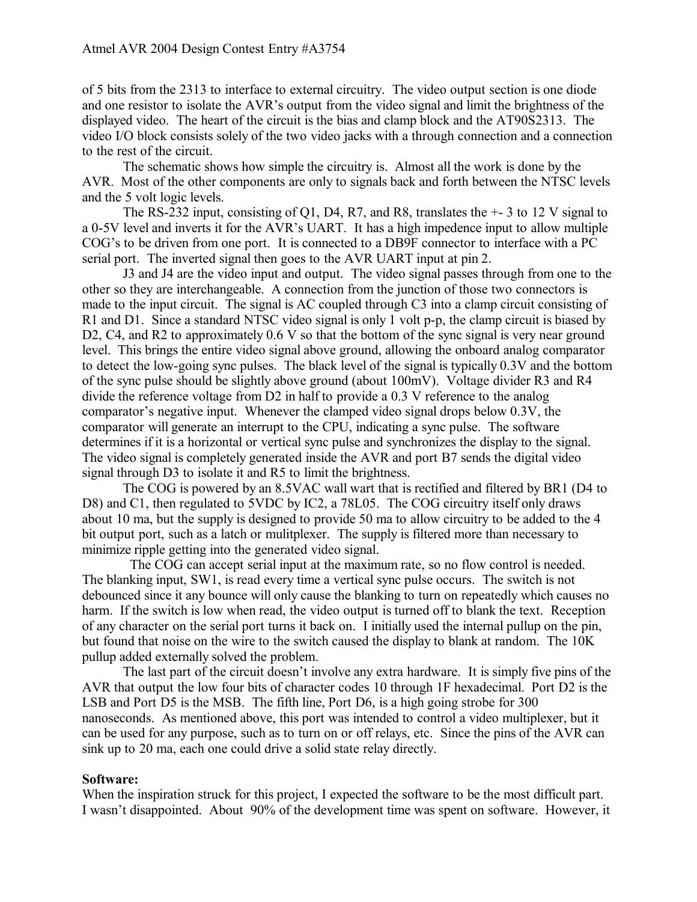of 5 bits from the 2313 to interface to external circuitry. The video output section is one diode and one resistor to isolate the AVR's output from the video signal and limit the brightness of the displayed video. The heart of the circuit is the bias and clamp block and the AT90S2313. The video I/O block consists solely of the two video jacks with a through connection and a connection to the rest of the circuit.

The schematic shows how simple the circuitry is. Almost all the work is done by the AVR. Most of the other components are only to signals back and forth between the NTSC levels and the 5 volt logic levels.

The RS-232 input, consisting of Q1, D4, R7, and R8, translates the +- 3 to 12 V signal to a 0-5V level and inverts it for the AVR's UART. It has a high impedence input to allow multiple COG's to be driven from one port. It is connected to a DB9F connector to interface with a PC serial port. The inverted signal then goes to the AVR UART input at pin 2.

J3 and J4 are the video input and output. The video signal passes through from one to the other so they are interchangeable. A connection from the junction of those two connectors is made to the input circuit. The signal is AC coupled through C3 into a clamp circuit consisting of R1 and D1. Since a standard NTSC video signal is only 1 volt p-p, the clamp circuit is biased by D2, C4, and R2 to approximately 0.6 V so that the bottom of the sync signal is very near ground level. This brings the entire video signal above ground, allowing the onboard analog comparator to detect the low-going sync pulses. The black level of the signal is typically 0.3V and the bottom of the sync pulse should be slightly above ground (about 100mV). Voltage divider R3 and R4 divide the reference voltage from D2 in half to provide a 0.3 V reference to the analog comparator's negative input. Whenever the clamped video signal drops below 0.3V, the comparator will generate an interrupt to the CPU, indicating a sync pulse. The software determines if it is a horizontal or vertical sync pulse and synchronizes the display to the signal. The video signal is completely generated inside the AVR and port B7 sends the digital video signal through D3 to isolate it and R5 to limit the brightness.

The COG is powered by an 8.5VAC wall wart that is rectified and filtered by BR1 (D4 to D8) and C1, then regulated to 5VDC by IC2, a 78L05. The COG circuitry itself only draws about 10 ma, but the supply is designed to provide 50 ma to allow circuitry to be added to the 4 bit output port, such as a latch or mulitplexer. The supply is filtered more than necessary to minimize ripple getting into the generated video signal.

 The COG can accept serial input at the maximum rate, so no flow control is needed. The blanking input, SW1, is read every time a vertical sync pulse occurs. The switch is not debounced since it any bounce will only cause the blanking to turn on repeatedly which causes no harm. If the switch is low when read, the video output is turned off to blank the text. Reception of any character on the serial port turns it back on. I initially used the internal pullup on the pin, but found that noise on the wire to the switch caused the display to blank at random. The 10K pullup added externally solved the problem.

The last part of the circuit doesn't involve any extra hardware. It is simply five pins of the AVR that output the low four bits of character codes 10 through 1F hexadecimal. Port D2 is the LSB and Port D5 is the MSB. The fifth line, Port D6, is a high going strobe for 300 nanoseconds. As mentioned above, this port was intended to control a video multiplexer, but it can be used for any purpose, such as to turn on or off relays, etc. Since the pins of the AVR can sink up to 20 ma, each one could drive a solid state relay directly.

# **Software:**

When the inspiration struck for this project, I expected the software to be the most difficult part. I wasn't disappointed. About 90% of the development time was spent on software. However, it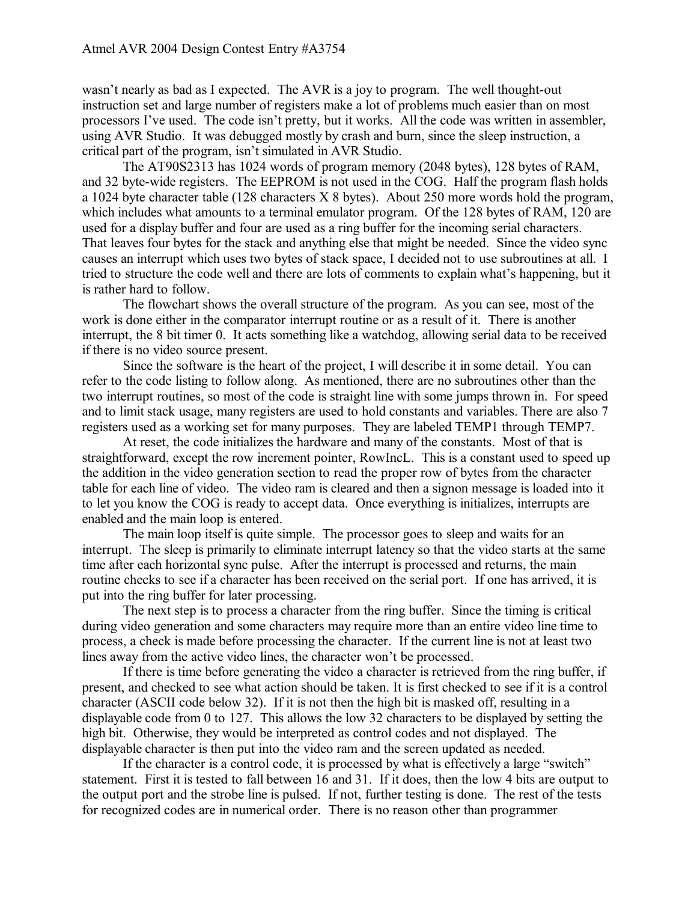wasn't nearly as bad as I expected. The AVR is a joy to program. The well thought-out instruction set and large number of registers make a lot of problems much easier than on most processors I've used. The code isn't pretty, but it works. All the code was written in assembler, using AVR Studio. It was debugged mostly by crash and burn, since the sleep instruction, a critical part of the program, isn't simulated in AVR Studio.

The AT90S2313 has 1024 words of program memory (2048 bytes), 128 bytes of RAM, and 32 byte-wide registers. The EEPROM is not used in the COG. Half the program flash holds a 1024 byte character table (128 characters X 8 bytes). About 250 more words hold the program, which includes what amounts to a terminal emulator program. Of the 128 bytes of RAM, 120 are used for a display buffer and four are used as a ring buffer for the incoming serial characters. That leaves four bytes for the stack and anything else that might be needed. Since the video sync causes an interrupt which uses two bytes of stack space, I decided not to use subroutines at all. I tried to structure the code well and there are lots of comments to explain what's happening, but it is rather hard to follow.

The flowchart shows the overall structure of the program. As you can see, most of the work is done either in the comparator interrupt routine or as a result of it. There is another interrupt, the 8 bit timer 0. It acts something like a watchdog, allowing serial data to be received if there is no video source present.

Since the software is the heart of the project, I will describe it in some detail. You can refer to the code listing to follow along. As mentioned, there are no subroutines other than the two interrupt routines, so most of the code is straight line with some jumps thrown in. For speed and to limit stack usage, many registers are used to hold constants and variables. There are also 7 registers used as a working set for many purposes. They are labeled TEMP1 through TEMP7.

At reset, the code initializes the hardware and many of the constants. Most of that is straightforward, except the row increment pointer, RowIncL. This is a constant used to speed up the addition in the video generation section to read the proper row of bytes from the character table for each line of video. The video ram is cleared and then a signon message is loaded into it to let you know the COG is ready to accept data. Once everything is initializes, interrupts are enabled and the main loop is entered.

The main loop itself is quite simple. The processor goes to sleep and waits for an interrupt. The sleep is primarily to eliminate interrupt latency so that the video starts at the same time after each horizontal sync pulse. After the interrupt is processed and returns, the main routine checks to see if a character has been received on the serial port. If one has arrived, it is put into the ring buffer for later processing.

The next step is to process a character from the ring buffer. Since the timing is critical during video generation and some characters may require more than an entire video line time to process, a check is made before processing the character. If the current line is not at least two lines away from the active video lines, the character won't be processed.

If there is time before generating the video a character is retrieved from the ring buffer, if present, and checked to see what action should be taken. It is first checked to see if it is a control character (ASCII code below 32). If it is not then the high bit is masked off, resulting in a displayable code from 0 to 127. This allows the low 32 characters to be displayed by setting the high bit. Otherwise, they would be interpreted as control codes and not displayed. The displayable character is then put into the video ram and the screen updated as needed.

If the character is a control code, it is processed by what is effectively a large "switch" statement. First it is tested to fall between 16 and 31. If it does, then the low 4 bits are output to the output port and the strobe line is pulsed. If not, further testing is done. The rest of the tests for recognized codes are in numerical order. There is no reason other than programmer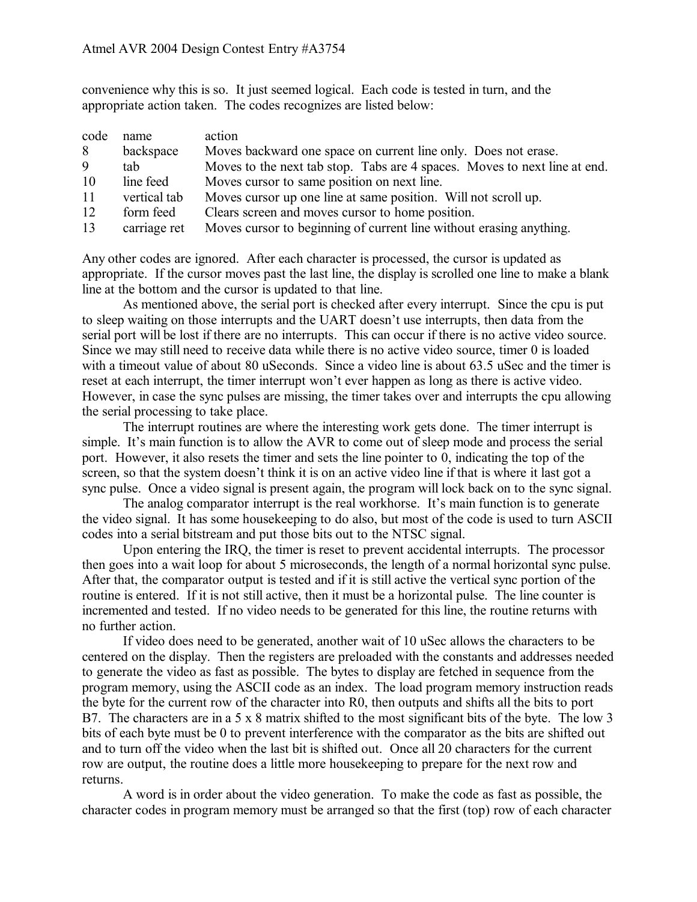convenience why this is so. It just seemed logical. Each code is tested in turn, and the appropriate action taken. The codes recognizes are listed below:

| code | name         | action                                                                    |
|------|--------------|---------------------------------------------------------------------------|
| 8    | backspace    | Moves backward one space on current line only. Does not erase.            |
| 9    | tab          | Moves to the next tab stop. Tabs are 4 spaces. Moves to next line at end. |
| 10   | line feed    | Moves cursor to same position on next line.                               |
| 11   | vertical tab | Moves cursor up one line at same position. Will not scroll up.            |
| 12   | form feed    | Clears screen and moves cursor to home position.                          |
| 13   | carriage ret | Moves cursor to beginning of current line without erasing anything.       |

Any other codes are ignored. After each character is processed, the cursor is updated as appropriate. If the cursor moves past the last line, the display is scrolled one line to make a blank line at the bottom and the cursor is updated to that line.

As mentioned above, the serial port is checked after every interrupt. Since the cpu is put to sleep waiting on those interrupts and the UART doesn't use interrupts, then data from the serial port will be lost if there are no interrupts. This can occur if there is no active video source. Since we may still need to receive data while there is no active video source, timer 0 is loaded with a timeout value of about 80 uSeconds. Since a video line is about 63.5 uSec and the timer is reset at each interrupt, the timer interrupt won't ever happen as long as there is active video. However, in case the sync pulses are missing, the timer takes over and interrupts the cpu allowing the serial processing to take place.

The interrupt routines are where the interesting work gets done. The timer interrupt is simple. It's main function is to allow the AVR to come out of sleep mode and process the serial port. However, it also resets the timer and sets the line pointer to 0, indicating the top of the screen, so that the system doesn't think it is on an active video line if that is where it last got a sync pulse. Once a video signal is present again, the program will lock back on to the sync signal.

The analog comparator interrupt is the real workhorse. It's main function is to generate the video signal. It has some housekeeping to do also, but most of the code is used to turn ASCII codes into a serial bitstream and put those bits out to the NTSC signal.

Upon entering the IRQ, the timer is reset to prevent accidental interrupts. The processor then goes into a wait loop for about 5 microseconds, the length of a normal horizontal sync pulse. After that, the comparator output is tested and if it is still active the vertical sync portion of the routine is entered. If it is not still active, then it must be a horizontal pulse. The line counter is incremented and tested. If no video needs to be generated for this line, the routine returns with no further action.

If video does need to be generated, another wait of 10 uSec allows the characters to be centered on the display. Then the registers are preloaded with the constants and addresses needed to generate the video as fast as possible. The bytes to display are fetched in sequence from the program memory, using the ASCII code as an index. The load program memory instruction reads the byte for the current row of the character into R0, then outputs and shifts all the bits to port B7. The characters are in a 5 x 8 matrix shifted to the most significant bits of the byte. The low 3 bits of each byte must be 0 to prevent interference with the comparator as the bits are shifted out and to turn off the video when the last bit is shifted out. Once all 20 characters for the current row are output, the routine does a little more housekeeping to prepare for the next row and returns.

A word is in order about the video generation. To make the code as fast as possible, the character codes in program memory must be arranged so that the first (top) row of each character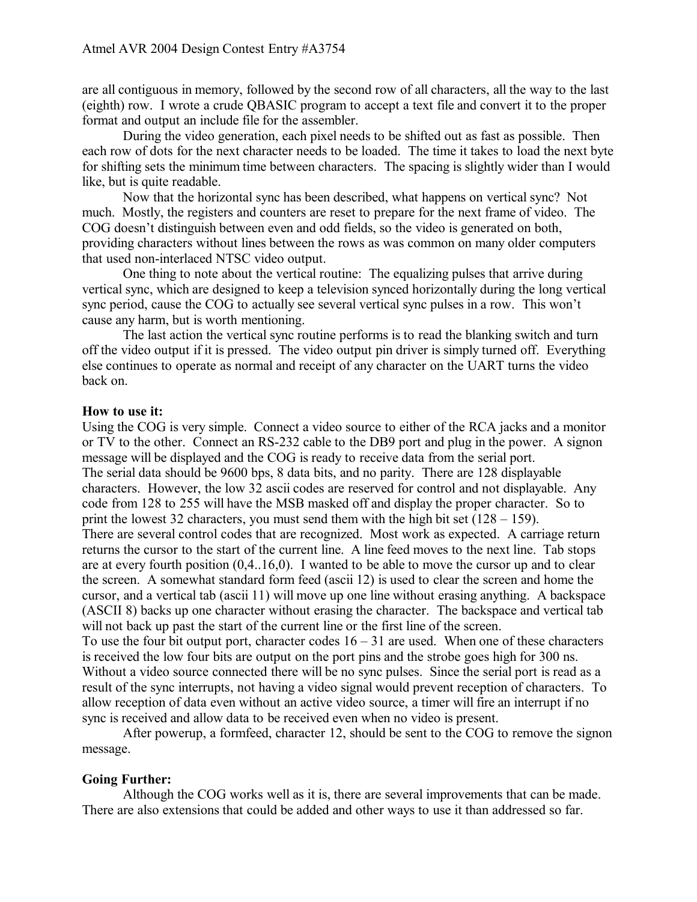are all contiguous in memory, followed by the second row of all characters, all the way to the last (eighth) row. I wrote a crude QBASIC program to accept a text file and convert it to the proper format and output an include file for the assembler.

During the video generation, each pixel needs to be shifted out as fast as possible. Then each row of dots for the next character needs to be loaded. The time it takes to load the next byte for shifting sets the minimum time between characters. The spacing is slightly wider than I would like, but is quite readable.

Now that the horizontal sync has been described, what happens on vertical sync? Not much. Mostly, the registers and counters are reset to prepare for the next frame of video. The COG doesn't distinguish between even and odd fields, so the video is generated on both, providing characters without lines between the rows as was common on many older computers that used non-interlaced NTSC video output.

One thing to note about the vertical routine: The equalizing pulses that arrive during vertical sync, which are designed to keep a television synced horizontally during the long vertical sync period, cause the COG to actually see several vertical sync pulses in a row. This won't cause any harm, but is worth mentioning.

The last action the vertical sync routine performs is to read the blanking switch and turn off the video output if it is pressed. The video output pin driver is simply turned off. Everything else continues to operate as normal and receipt of any character on the UART turns the video back on.

# **How to use it:**

Using the COG is very simple. Connect a video source to either of the RCA jacks and a monitor or TV to the other. Connect an RS-232 cable to the DB9 port and plug in the power. A signon message will be displayed and the COG is ready to receive data from the serial port. The serial data should be 9600 bps, 8 data bits, and no parity. There are 128 displayable characters. However, the low 32 ascii codes are reserved for control and not displayable. Any code from 128 to 255 will have the MSB masked off and display the proper character. So to print the lowest 32 characters, you must send them with the high bit set (128 – 159). There are several control codes that are recognized. Most work as expected. A carriage return returns the cursor to the start of the current line. A line feed moves to the next line. Tab stops are at every fourth position (0,4..16,0). I wanted to be able to move the cursor up and to clear the screen. A somewhat standard form feed (ascii 12) is used to clear the screen and home the cursor, and a vertical tab (ascii 11) will move up one line without erasing anything. A backspace (ASCII 8) backs up one character without erasing the character. The backspace and vertical tab will not back up past the start of the current line or the first line of the screen.

To use the four bit output port, character codes  $16 - 31$  are used. When one of these characters is received the low four bits are output on the port pins and the strobe goes high for 300 ns. Without a video source connected there will be no sync pulses. Since the serial port is read as a result of the sync interrupts, not having a video signal would prevent reception of characters. To allow reception of data even without an active video source, a timer will fire an interrupt if no sync is received and allow data to be received even when no video is present.

After powerup, a formfeed, character 12, should be sent to the COG to remove the signon message.

# **Going Further:**

Although the COG works well as it is, there are several improvements that can be made. There are also extensions that could be added and other ways to use it than addressed so far.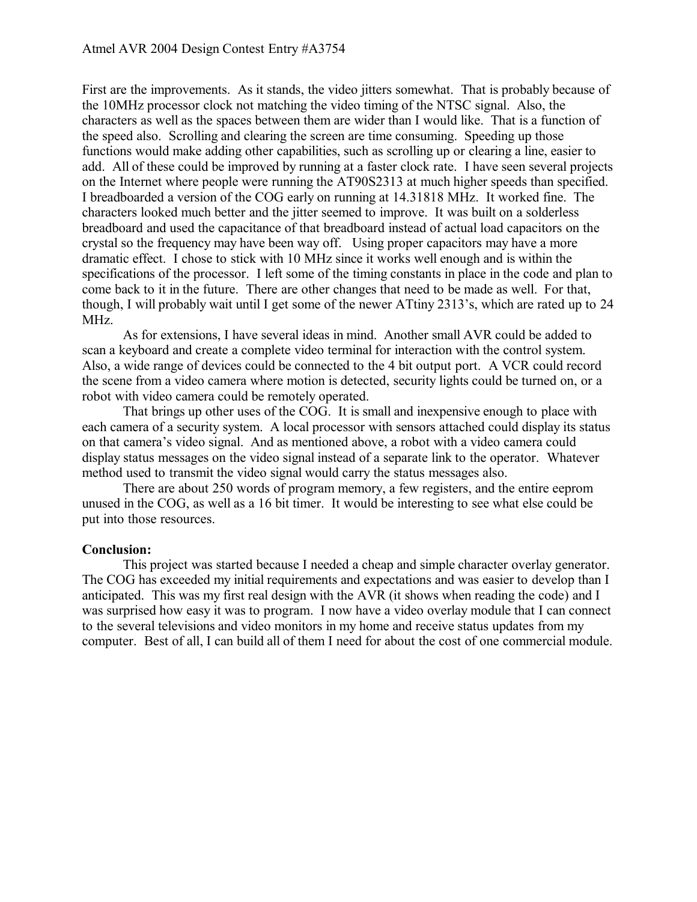First are the improvements. As it stands, the video jitters somewhat. That is probably because of the 10MHz processor clock not matching the video timing of the NTSC signal. Also, the characters as well as the spaces between them are wider than I would like. That is a function of the speed also. Scrolling and clearing the screen are time consuming. Speeding up those functions would make adding other capabilities, such as scrolling up or clearing a line, easier to add. All of these could be improved by running at a faster clock rate. I have seen several projects on the Internet where people were running the AT90S2313 at much higher speeds than specified. I breadboarded a version of the COG early on running at 14.31818 MHz. It worked fine. The characters looked much better and the jitter seemed to improve. It was built on a solderless breadboard and used the capacitance of that breadboard instead of actual load capacitors on the crystal so the frequency may have been way off. Using proper capacitors may have a more dramatic effect. I chose to stick with 10 MHz since it works well enough and is within the specifications of the processor. I left some of the timing constants in place in the code and plan to come back to it in the future. There are other changes that need to be made as well. For that, though, I will probably wait until I get some of the newer ATtiny 2313's, which are rated up to 24 MHz.

As for extensions, I have several ideas in mind. Another small AVR could be added to scan a keyboard and create a complete video terminal for interaction with the control system. Also, a wide range of devices could be connected to the 4 bit output port. A VCR could record the scene from a video camera where motion is detected, security lights could be turned on, or a robot with video camera could be remotely operated.

That brings up other uses of the COG. It is small and inexpensive enough to place with each camera of a security system. A local processor with sensors attached could display its status on that camera's video signal. And as mentioned above, a robot with a video camera could display status messages on the video signal instead of a separate link to the operator. Whatever method used to transmit the video signal would carry the status messages also.

There are about 250 words of program memory, a few registers, and the entire eeprom unused in the COG, as well as a 16 bit timer. It would be interesting to see what else could be put into those resources.

# **Conclusion:**

This project was started because I needed a cheap and simple character overlay generator. The COG has exceeded my initial requirements and expectations and was easier to develop than I anticipated. This was my first real design with the AVR (it shows when reading the code) and I was surprised how easy it was to program. I now have a video overlay module that I can connect to the several televisions and video monitors in my home and receive status updates from my computer. Best of all, I can build all of them I need for about the cost of one commercial module.